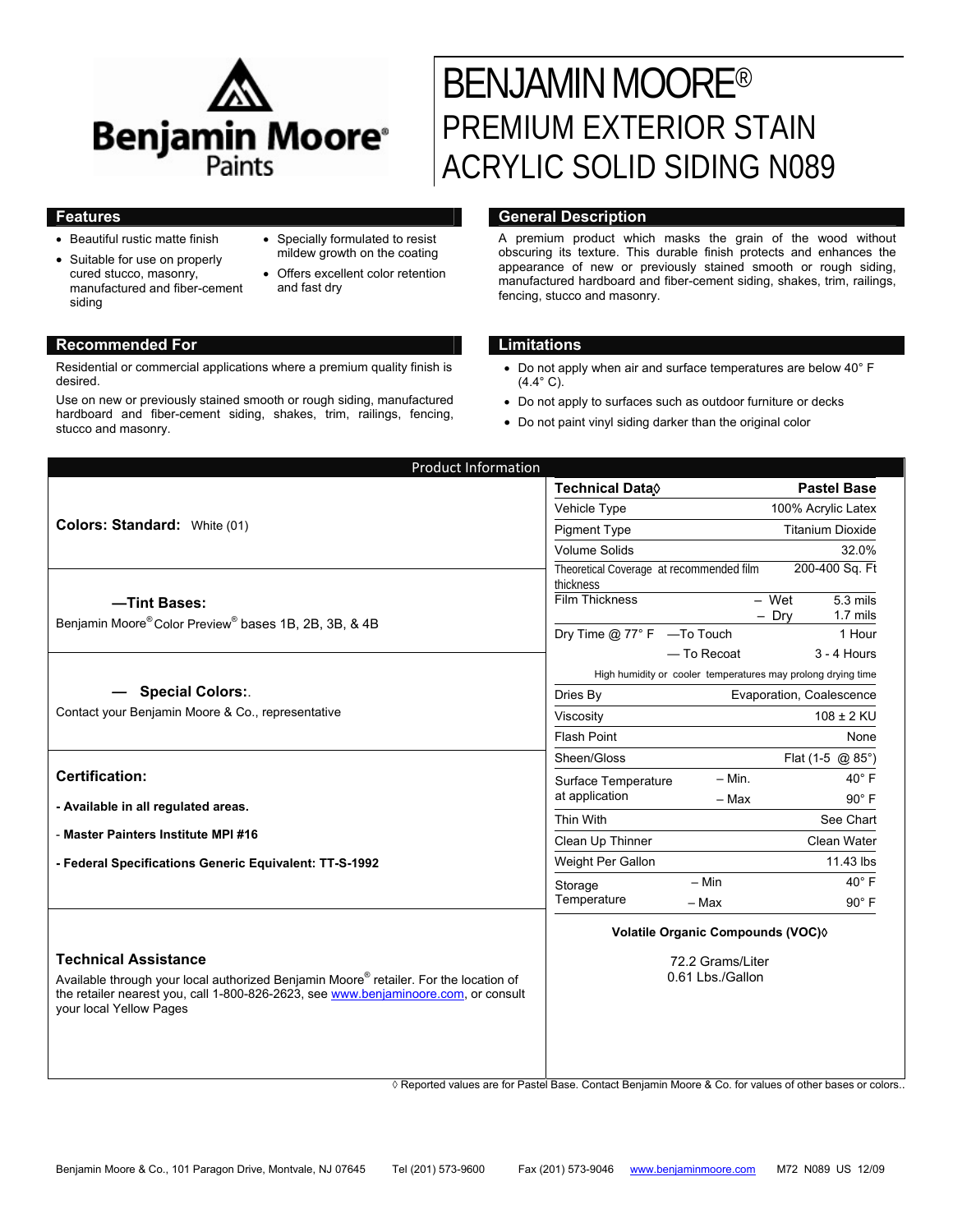

- Beautiful rustic matte finish
- Suitable for use on properly cured stucco, masonry, manufactured and fiber-cement siding
- Specially formulated to resist mildew growth on the coating
- Offers excellent color retention and fast dry

### **Recommended For Limitations**

Residential or commercial applications where a premium quality finish is desired.

Use on new or previously stained smooth or rough siding, manufactured hardboard and fiber-cement siding, shakes, trim, railings, fencing, stucco and masonry.

# BENJAMIN MOORE® PREMIUM EXTERIOR STAIN ACRYLIC SOLID SIDING N089

## **Features General Description**

A premium product which masks the grain of the wood without obscuring its texture. This durable finish protects and enhances the appearance of new or previously stained smooth or rough siding, manufactured hardboard and fiber-cement siding, shakes, trim, railings, fencing, stucco and masonry.

- Do not apply when air and surface temperatures are below 40° F  $(4.4^{\circ} C).$
- Do not apply to surfaces such as outdoor furniture or decks
- Do not paint vinyl siding darker than the original color

| <b>Product Information</b>                                                                                                                                                                              |                                          |                                                                                                         |
|---------------------------------------------------------------------------------------------------------------------------------------------------------------------------------------------------------|------------------------------------------|---------------------------------------------------------------------------------------------------------|
| Colors: Standard: White (01)                                                                                                                                                                            | <b>Technical Data</b>                    | <b>Pastel Base</b>                                                                                      |
|                                                                                                                                                                                                         | Vehicle Type                             | 100% Acrylic Latex                                                                                      |
|                                                                                                                                                                                                         | <b>Pigment Type</b>                      | <b>Titanium Dioxide</b>                                                                                 |
|                                                                                                                                                                                                         | <b>Volume Solids</b>                     | 32.0%                                                                                                   |
|                                                                                                                                                                                                         | Theoretical Coverage at recommended film | 200-400 Sq. Ft                                                                                          |
|                                                                                                                                                                                                         | thickness<br>Film Thickness              | $-$ Wet<br>$5.3$ mils                                                                                   |
| -Tint Bases:                                                                                                                                                                                            |                                          | $-$ Dry<br>$1.7$ mils                                                                                   |
| Benjamin Moore® Color Preview® bases 1B, 2B, 3B, & 4B                                                                                                                                                   | Dry Time @ 77° F -To Touch               | 1 Hour                                                                                                  |
|                                                                                                                                                                                                         |                                          | - To Recoat<br>$3 - 4$ Hours                                                                            |
|                                                                                                                                                                                                         |                                          | High humidity or cooler temperatures may prolong drying time                                            |
| - Special Colors:                                                                                                                                                                                       | Dries By                                 | Evaporation, Coalescence                                                                                |
| Contact your Benjamin Moore & Co., representative                                                                                                                                                       | Viscosity                                | $108 \pm 2$ KU                                                                                          |
|                                                                                                                                                                                                         | <b>Flash Point</b>                       | None                                                                                                    |
|                                                                                                                                                                                                         | Sheen/Gloss                              | Flat (1-5 @ 85°)                                                                                        |
| <b>Certification:</b>                                                                                                                                                                                   | Surface Temperature                      | $40^\circ$ F<br>$-$ Min.                                                                                |
| - Available in all regulated areas.                                                                                                                                                                     | at application                           | $90^\circ$ F<br>- Max                                                                                   |
|                                                                                                                                                                                                         | Thin With                                | See Chart                                                                                               |
| - Master Painters Institute MPI #16                                                                                                                                                                     | Clean Up Thinner                         | Clean Water                                                                                             |
| - Federal Specifications Generic Equivalent: TT-S-1992                                                                                                                                                  | Weight Per Gallon                        | 11.43 lbs                                                                                               |
|                                                                                                                                                                                                         | Storage                                  | $40^\circ$ F<br>$- Min$                                                                                 |
|                                                                                                                                                                                                         | Temperature                              | $90^\circ$ F<br>$-$ Max                                                                                 |
|                                                                                                                                                                                                         | Volatile Organic Compounds (VOC) 0       |                                                                                                         |
| <b>Technical Assistance</b>                                                                                                                                                                             | 72.2 Grams/Liter<br>0.61 Lbs./Gallon     |                                                                                                         |
| Available through your local authorized Benjamin Moore® retailer. For the location of<br>the retailer nearest you, call 1-800-826-2623, see www.benjaminoore.com, or consult<br>your local Yellow Pages |                                          |                                                                                                         |
|                                                                                                                                                                                                         |                                          | ◊ Reported values are for Pastel Base. Contact Benjamin Moore & Co. for values of other bases or colors |